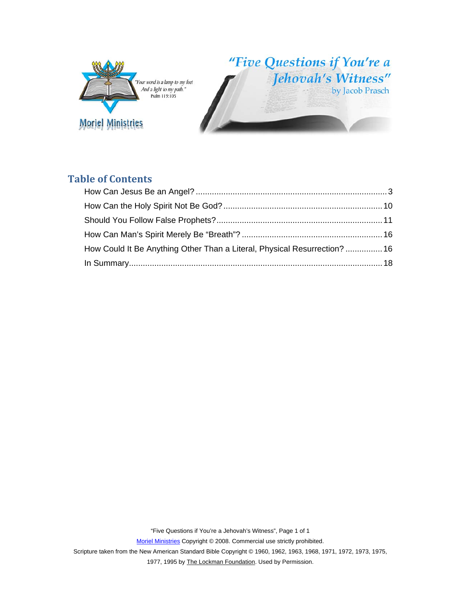

"Five Questions if You're a Jehovah's Witness"

# **Table of Contents**

| How Could It Be Anything Other Than a Literal, Physical Resurrection?  16 |  |
|---------------------------------------------------------------------------|--|
|                                                                           |  |

"Five Questions if You're a Jehovah's Witness", Page 1 of 1

Moriel Ministries Copyright © 2008. Commercial use strictly prohibited.

Scripture taken from the New American Standard Bible Copyright © 1960, 1962, 1963, 1968, 1971, 1972, 1973, 1975,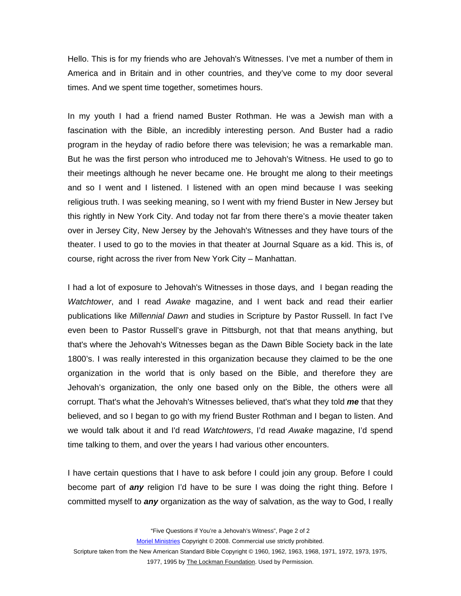Hello. This is for my friends who are Jehovah's Witnesses. I've met a number of them in America and in Britain and in other countries, and they've come to my door several times. And we spent time together, sometimes hours.

In my youth I had a friend named Buster Rothman. He was a Jewish man with a fascination with the Bible, an incredibly interesting person. And Buster had a radio program in the heyday of radio before there was television; he was a remarkable man. But he was the first person who introduced me to Jehovah's Witness. He used to go to their meetings although he never became one. He brought me along to their meetings and so I went and I listened. I listened with an open mind because I was seeking religious truth. I was seeking meaning, so I went with my friend Buster in New Jersey but this rightly in New York City. And today not far from there there's a movie theater taken over in Jersey City, New Jersey by the Jehovah's Witnesses and they have tours of the theater. I used to go to the movies in that theater at Journal Square as a kid. This is, of course, right across the river from New York City – Manhattan.

I had a lot of exposure to Jehovah's Witnesses in those days, and I began reading the *Watchtower*, and I read *Awake* magazine, and I went back and read their earlier publications like *Millennial Dawn* and studies in Scripture by Pastor Russell. In fact I've even been to Pastor Russell's grave in Pittsburgh, not that that means anything, but that's where the Jehovah's Witnesses began as the Dawn Bible Society back in the late 1800's. I was really interested in this organization because they claimed to be the one organization in the world that is only based on the Bible, and therefore they are Jehovah's organization, the only one based only on the Bible, the others were all corrupt. That's what the Jehovah's Witnesses believed, that's what they told *me* that they believed, and so I began to go with my friend Buster Rothman and I began to listen. And we would talk about it and I'd read *Watchtowers*, I'd read *Awake* magazine, I'd spend time talking to them, and over the years I had various other encounters.

I have certain questions that I have to ask before I could join any group. Before I could become part of *any* religion I'd have to be sure I was doing the right thing. Before I committed myself to *any* organization as the way of salvation, as the way to God, I really

"Five Questions if You're a Jehovah's Witness", Page 2 of 2

Moriel Ministries Copyright © 2008. Commercial use strictly prohibited.

Scripture taken from the New American Standard Bible Copyright © 1960, 1962, 1963, 1968, 1971, 1972, 1973, 1975,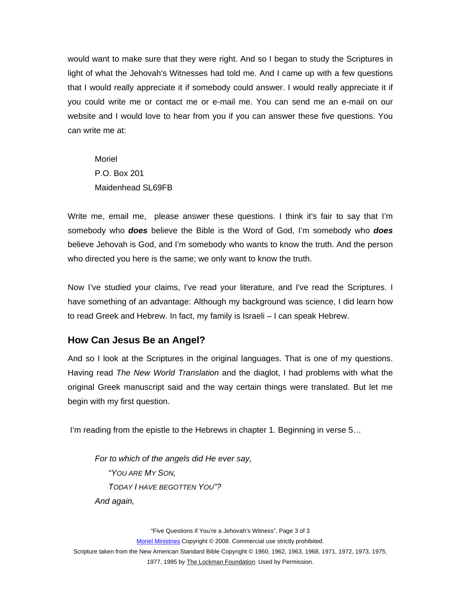<span id="page-2-0"></span>would want to make sure that they were right. And so I began to study the Scriptures in light of what the Jehovah's Witnesses had told me. And I came up with a few questions that I would really appreciate it if somebody could answer. I would really appreciate it if you could write me or contact me or e-mail me. You can send me an e-mail on our website and I would love to hear from you if you can answer these five questions. You can write me at:

Moriel P.O. Box 201 Maidenhead SL69FB

Write me, email me, please answer these questions. I think it's fair to say that I'm somebody who *does* believe the Bible is the Word of God, I'm somebody who *does* believe Jehovah is God, and I'm somebody who wants to know the truth. And the person who directed you here is the same; we only want to know the truth.

Now I've studied your claims, I've read your literature, and I've read the Scriptures. I have something of an advantage: Although my background was science, I did learn how to read Greek and Hebrew. In fact, my family is Israeli – I can speak Hebrew.

## **How Can Jesus Be an Angel?**

And so I look at the Scriptures in the original languages. That is one of my questions. Having read *The New World Translation* and the diaglot, I had problems with what the original Greek manuscript said and the way certain things were translated. But let me begin with my first question.

I'm reading from the epistle to the Hebrews in chapter 1. Beginning in verse 5…

*For to which of the angels did He ever say, "YOU ARE MY SON, TODAY I HAVE BEGOTTEN YOU"? And again,* 

"Five Questions if You're a Jehovah's Witness", Page 3 of 3 Moriel Ministries Copyright © 2008. Commercial use strictly prohibited. Scripture taken from the New American Standard Bible Copyright © 1960, 1962, 1963, 1968, 1971, 1972, 1973, 1975,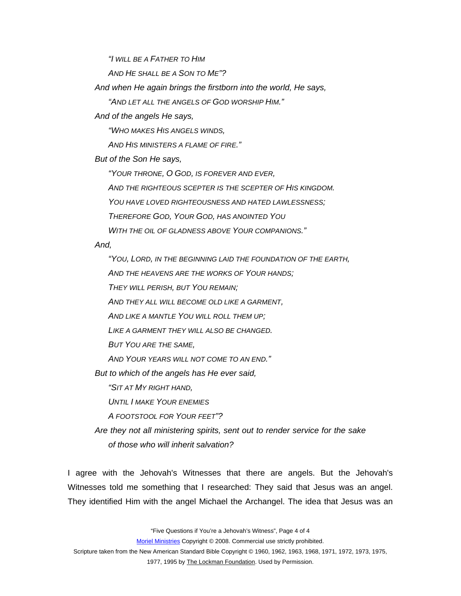*"I WILL BE A FATHER TO HIM*

*AND HE SHALL BE A SON TO ME"?* 

*And when He again brings the firstborn into the world, He says,* 

*"AND LET ALL THE ANGELS OF GOD WORSHIP HIM."* 

*And of the angels He says,* 

*"WHO MAKES HIS ANGELS WINDS,* 

*AND HIS MINISTERS A FLAME OF FIRE."* 

*But of the Son He says,* 

*"YOUR THRONE, O GOD, IS FOREVER AND EVER,* 

*AND THE RIGHTEOUS SCEPTER IS THE SCEPTER OF HIS KINGDOM.* 

*YOU HAVE LOVED RIGHTEOUSNESS AND HATED LAWLESSNESS;* 

*THEREFORE GOD, YOUR GOD, HAS ANOINTED YOU*

*WITH THE OIL OF GLADNESS ABOVE YOUR COMPANIONS."* 

*And,* 

*"YOU, LORD, IN THE BEGINNING LAID THE FOUNDATION OF THE EARTH, AND THE HEAVENS ARE THE WORKS OF YOUR HANDS; THEY WILL PERISH, BUT YOU REMAIN; AND THEY ALL WILL BECOME OLD LIKE A GARMENT, AND LIKE A MANTLE YOU WILL ROLL THEM UP; LIKE A GARMENT THEY WILL ALSO BE CHANGED. BUT YOU ARE THE SAME, AND YOUR YEARS WILL NOT COME TO AN END." But to which of the angels has He ever said, "SIT AT MY RIGHT HAND, UNTIL I MAKE YOUR ENEMIES A FOOTSTOOL FOR YOUR FEET"? Are they not all ministering spirits, sent out to render service for the sake* 

*of those who will inherit salvation?* 

I agree with the Jehovah's Witnesses that there are angels. But the Jehovah's Witnesses told me something that I researched: They said that Jesus was an angel. They identified Him with the angel Michael the Archangel. The idea that Jesus was an

"Five Questions if You're a Jehovah's Witness", Page 4 of 4

Moriel Ministries Copyright © 2008. Commercial use strictly prohibited.

Scripture taken from the New American Standard Bible Copyright © 1960, 1962, 1963, 1968, 1971, 1972, 1973, 1975,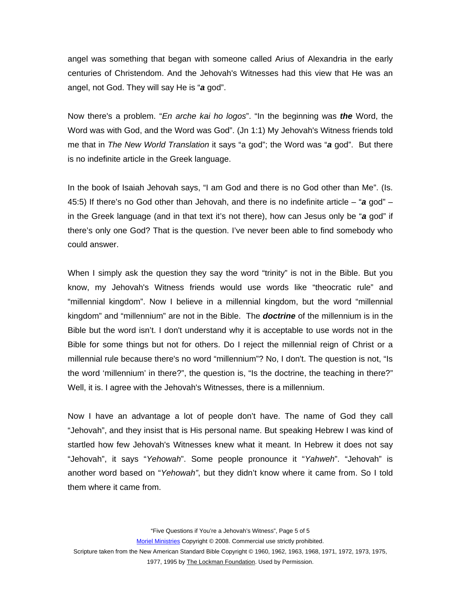angel was something that began with someone called Arius of Alexandria in the early centuries of Christendom. And the Jehovah's Witnesses had this view that He was an angel, not God. They will say He is "*a* god".

Now there's a problem. "*En arche kai ho logos*". "In the beginning was *the* Word, the Word was with God, and the Word was God". (Jn 1:1) My Jehovah's Witness friends told me that in *The New World Translation* it says "a god"; the Word was "*a* god". But there is no indefinite article in the Greek language.

In the book of Isaiah Jehovah says, "I am God and there is no God other than Me". (Is. 45:5) If there's no God other than Jehovah, and there is no indefinite article – "*a* god" – in the Greek language (and in that text it's not there), how can Jesus only be "*a* god" if there's only one God? That is the question. I've never been able to find somebody who could answer.

When I simply ask the question they say the word "trinity" is not in the Bible. But you know, my Jehovah's Witness friends would use words like "theocratic rule" and "millennial kingdom". Now I believe in a millennial kingdom, but the word "millennial kingdom" and "millennium" are not in the Bible. The *doctrine* of the millennium is in the Bible but the word isn't. I don't understand why it is acceptable to use words not in the Bible for some things but not for others. Do I reject the millennial reign of Christ or a millennial rule because there's no word "millennium"? No, I don't. The question is not, "Is the word 'millennium' in there?", the question is, "Is the doctrine, the teaching in there?" Well, it is. I agree with the Jehovah's Witnesses, there is a millennium.

Now I have an advantage a lot of people don't have. The name of God they call "Jehovah", and they insist that is His personal name. But speaking Hebrew I was kind of startled how few Jehovah's Witnesses knew what it meant. In Hebrew it does not say "Jehovah", it says "*Yehowah*". Some people pronounce it "*Yahweh*". "Jehovah" is another word based on "*Yehowah"*, but they didn't know where it came from. So I told them where it came from.

"Five Questions if You're a Jehovah's Witness", Page 5 of 5

Moriel Ministries Copyright © 2008. Commercial use strictly prohibited.

Scripture taken from the New American Standard Bible Copyright © 1960, 1962, 1963, 1968, 1971, 1972, 1973, 1975,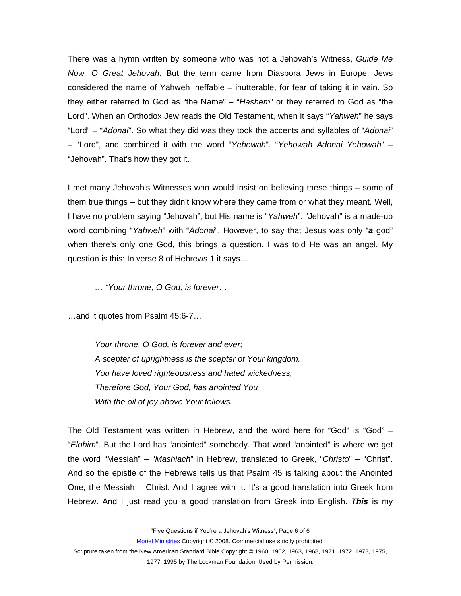There was a hymn written by someone who was not a Jehovah's Witness, *Guide Me Now, O Great Jehovah*. But the term came from Diaspora Jews in Europe. Jews considered the name of Yahweh ineffable – inutterable, for fear of taking it in vain. So they either referred to God as "the Name" – "*Hashem*" or they referred to God as "the Lord". When an Orthodox Jew reads the Old Testament, when it says "*Yahweh*" he says "Lord" – "*Adonai*". So what they did was they took the accents and syllables of "*Adonai*" – "Lord", and combined it with the word "*Yehowah*". "*Yehowah Adonai Yehowah*" – "Jehovah". That's how they got it.

I met many Jehovah's Witnesses who would insist on believing these things – some of them true things – but they didn't know where they came from or what they meant. Well, I have no problem saying "Jehovah", but His name is "*Yahweh*". "Jehovah" is a made-up word combining "*Yahweh*" with "*Adonai*". However, to say that Jesus was only "*a* god" when there's only one God, this brings a question. I was told He was an angel. My question is this: In verse 8 of Hebrews 1 it says…

*… "Your throne, O God, is forever…* 

…and it quotes from Psalm 45:6-7…

*Your throne, O God, is forever and ever; A scepter of uprightness is the scepter of Your kingdom. You have loved righteousness and hated wickedness; Therefore God, Your God, has anointed You With the oil of joy above Your fellows.* 

The Old Testament was written in Hebrew, and the word here for "God" is "God"  $-$ "*Elohim*". But the Lord has "anointed" somebody. That word "anointed" is where we get the word "Messiah" – "*Mashiach*" in Hebrew, translated to Greek, "*Christo*" – "Christ". And so the epistle of the Hebrews tells us that Psalm 45 is talking about the Anointed One, the Messiah – Christ. And I agree with it. It's a good translation into Greek from Hebrew. And I just read you a good translation from Greek into English. *This* is my

"Five Questions if You're a Jehovah's Witness", Page 6 of 6

Moriel Ministries Copyright © 2008. Commercial use strictly prohibited.

Scripture taken from the New American Standard Bible Copyright © 1960, 1962, 1963, 1968, 1971, 1972, 1973, 1975,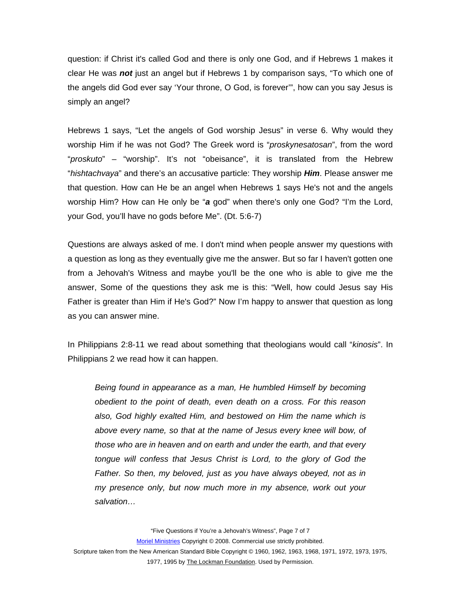question: if Christ it's called God and there is only one God, and if Hebrews 1 makes it clear He was *not* just an angel but if Hebrews 1 by comparison says, "To which one of the angels did God ever say 'Your throne, O God, is forever'", how can you say Jesus is simply an angel?

Hebrews 1 says, "Let the angels of God worship Jesus" in verse 6. Why would they worship Him if he was not God? The Greek word is "*proskynesatosan*", from the word "*proskuto*" – "worship". It's not "obeisance", it is translated from the Hebrew "*hishtachvaya*" and there's an accusative particle: They worship *Him*. Please answer me that question. How can He be an angel when Hebrews 1 says He's not and the angels worship Him? How can He only be "*a* god" when there's only one God? "I'm the Lord, your God, you'll have no gods before Me". (Dt. 5:6-7)

Questions are always asked of me. I don't mind when people answer my questions with a question as long as they eventually give me the answer. But so far I haven't gotten one from a Jehovah's Witness and maybe you'll be the one who is able to give me the answer, Some of the questions they ask me is this: "Well, how could Jesus say His Father is greater than Him if He's God?" Now I'm happy to answer that question as long as you can answer mine.

In Philippians 2:8-11 we read about something that theologians would call "*kinosis*". In Philippians 2 we read how it can happen.

*Being found in appearance as a man, He humbled Himself by becoming obedient to the point of death, even death on a cross. For this reason also, God highly exalted Him, and bestowed on Him the name which is above every name, so that at the name of Jesus every knee will bow, of those who are in heaven and on earth and under the earth, and that every tongue will confess that Jesus Christ is Lord, to the glory of God the Father. So then, my beloved, just as you have always obeyed, not as in my presence only, but now much more in my absence, work out your salvation…* 

"Five Questions if You're a Jehovah's Witness", Page 7 of 7

Moriel Ministries Copyright © 2008. Commercial use strictly prohibited.

Scripture taken from the New American Standard Bible Copyright © 1960, 1962, 1963, 1968, 1971, 1972, 1973, 1975, 1977, 1995 by The Lockman Foundation. Used by Permission.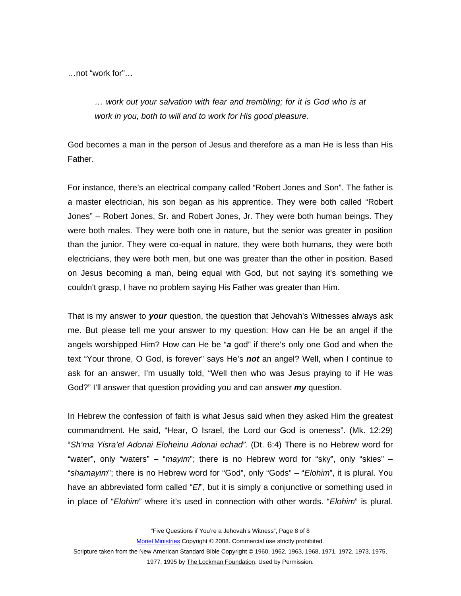…not "work for"…

*… work out your salvation with fear and trembling; for it is God who is at work in you, both to will and to work for His good pleasure.* 

God becomes a man in the person of Jesus and therefore as a man He is less than His Father.

For instance, there's an electrical company called "Robert Jones and Son". The father is a master electrician, his son began as his apprentice. They were both called "Robert Jones" – Robert Jones, Sr. and Robert Jones, Jr. They were both human beings. They were both males. They were both one in nature, but the senior was greater in position than the junior. They were co-equal in nature, they were both humans, they were both electricians, they were both men, but one was greater than the other in position. Based on Jesus becoming a man, being equal with God, but not saying it's something we couldn't grasp, I have no problem saying His Father was greater than Him.

That is my answer to *your* question, the question that Jehovah's Witnesses always ask me. But please tell me your answer to my question: How can He be an angel if the angels worshipped Him? How can He be "*a* god" if there's only one God and when the text "Your throne, O God, is forever" says He's *not* an angel? Well, when I continue to ask for an answer, I'm usually told, "Well then who was Jesus praying to if He was God?" I'll answer that question providing you and can answer *my* question.

In Hebrew the confession of faith is what Jesus said when they asked Him the greatest commandment. He said, "Hear, O Israel, the Lord our God is oneness". (Mk. 12:29) "*Sh'ma Yisra'el Adonai Eloheinu Adonai echad".* (Dt. 6:4) There is no Hebrew word for "water", only "waters" – "*mayim*"; there is no Hebrew word for "sky", only "skies" – "*shamayim*"; there is no Hebrew word for "God", only "Gods" – "*Elohim*", it is plural. You have an abbreviated form called "*El*", but it is simply a conjunctive or something used in in place of "*Elohim*" where it's used in connection with other words. "*Elohim*" is plural.

"Five Questions if You're a Jehovah's Witness", Page 8 of 8

Moriel Ministries Copyright © 2008. Commercial use strictly prohibited.

Scripture taken from the New American Standard Bible Copyright © 1960, 1962, 1963, 1968, 1971, 1972, 1973, 1975,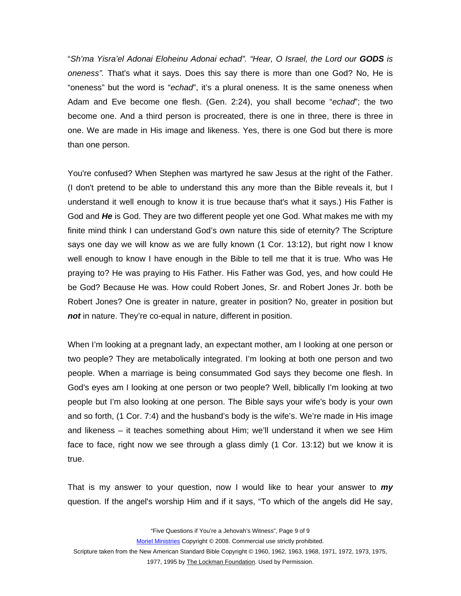"*Sh'ma Yisra'el Adonai Eloheinu Adonai echad". "Hear, O Israel, the Lord our GODS is oneness".* That's what it says. Does this say there is more than one God? No, He is "oneness" but the word is "*echad*", it's a plural oneness. It is the same oneness when Adam and Eve become one flesh. (Gen. 2:24), you shall become "*echad*"; the two become one. And a third person is procreated, there is one in three, there is three in one. We are made in His image and likeness. Yes, there is one God but there is more than one person.

You're confused? When Stephen was martyred he saw Jesus at the right of the Father. (I don't pretend to be able to understand this any more than the Bible reveals it, but I understand it well enough to know it is true because that's what it says.) His Father is God and *He* is God. They are two different people yet one God. What makes me with my finite mind think I can understand God's own nature this side of eternity? The Scripture says one day we will know as we are fully known (1 Cor. 13:12), but right now I know well enough to know I have enough in the Bible to tell me that it is true. Who was He praying to? He was praying to His Father. His Father was God, yes, and how could He be God? Because He was. How could Robert Jones, Sr. and Robert Jones Jr. both be Robert Jones? One is greater in nature, greater in position? No, greater in position but *not* in nature. They're co-equal in nature, different in position.

When I'm looking at a pregnant lady, an expectant mother, am I Iooking at one person or two people? They are metabolically integrated. I'm looking at both one person and two people. When a marriage is being consummated God says they become one flesh. In God's eyes am I looking at one person or two people? Well, biblically I'm looking at two people but I'm also looking at one person. The Bible says your wife's body is your own and so forth, (1 Cor. 7:4) and the husband's body is the wife's. We're made in His image and likeness – it teaches something about Him; we'll understand it when we see Him face to face, right now we see through a glass dimly (1 Cor. 13:12) but we know it is true.

That is my answer to your question, now I would like to hear your answer to *my* question. If the angel's worship Him and if it says, "To which of the angels did He say,

"Five Questions if You're a Jehovah's Witness", Page 9 of 9

Moriel Ministries Copyright © 2008. Commercial use strictly prohibited.

Scripture taken from the New American Standard Bible Copyright © 1960, 1962, 1963, 1968, 1971, 1972, 1973, 1975,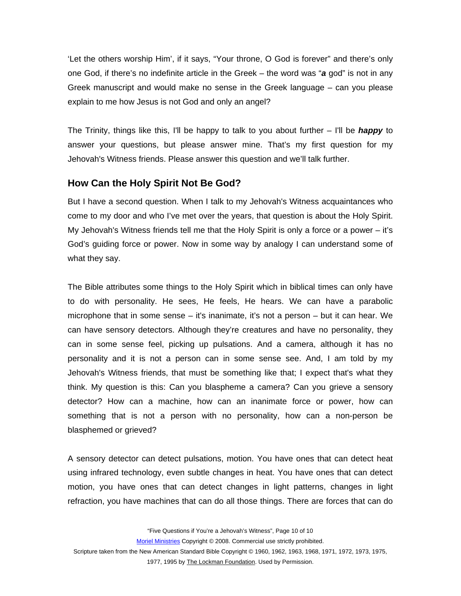<span id="page-9-0"></span>'Let the others worship Him', if it says, "Your throne, O God is forever" and there's only one God, if there's no indefinite article in the Greek – the word was "*a* god" is not in any Greek manuscript and would make no sense in the Greek language – can you please explain to me how Jesus is not God and only an angel?

The Trinity, things like this, I'll be happy to talk to you about further – I'll be *happy* to answer your questions, but please answer mine. That's my first question for my Jehovah's Witness friends. Please answer this question and we'll talk further.

## **How Can the Holy Spirit Not Be God?**

But I have a second question. When I talk to my Jehovah's Witness acquaintances who come to my door and who I've met over the years, that question is about the Holy Spirit. My Jehovah's Witness friends tell me that the Holy Spirit is only a force or a power – it's God's guiding force or power. Now in some way by analogy I can understand some of what they say.

The Bible attributes some things to the Holy Spirit which in biblical times can only have to do with personality. He sees, He feels, He hears. We can have a parabolic microphone that in some sense – it's inanimate, it's not a person – but it can hear. We can have sensory detectors. Although they're creatures and have no personality, they can in some sense feel, picking up pulsations. And a camera, although it has no personality and it is not a person can in some sense see. And, I am told by my Jehovah's Witness friends, that must be something like that; I expect that's what they think. My question is this: Can you blaspheme a camera? Can you grieve a sensory detector? How can a machine, how can an inanimate force or power, how can something that is not a person with no personality, how can a non-person be blasphemed or grieved?

A sensory detector can detect pulsations, motion. You have ones that can detect heat using infrared technology, even subtle changes in heat. You have ones that can detect motion, you have ones that can detect changes in light patterns, changes in light refraction, you have machines that can do all those things. There are forces that can do

"Five Questions if You're a Jehovah's Witness", Page 10 of 10

Moriel Ministries Copyright © 2008. Commercial use strictly prohibited.

Scripture taken from the New American Standard Bible Copyright © 1960, 1962, 1963, 1968, 1971, 1972, 1973, 1975,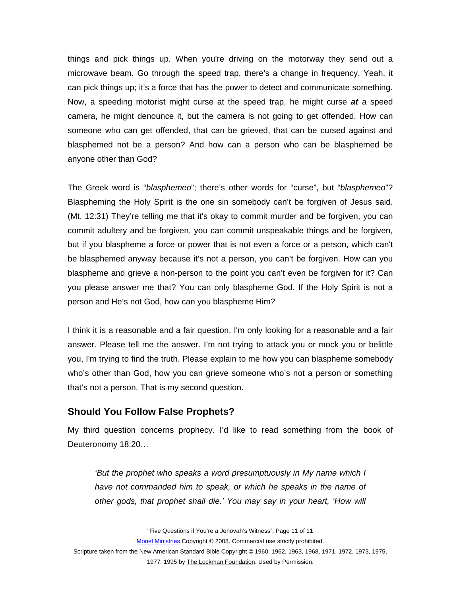<span id="page-10-0"></span>things and pick things up. When you're driving on the motorway they send out a microwave beam. Go through the speed trap, there's a change in frequency. Yeah, it can pick things up; it's a force that has the power to detect and communicate something. Now, a speeding motorist might curse at the speed trap, he might curse *at* a speed camera, he might denounce it, but the camera is not going to get offended. How can someone who can get offended, that can be grieved, that can be cursed against and blasphemed not be a person? And how can a person who can be blasphemed be anyone other than God?

The Greek word is "*blasphemeo*"; there's other words for "curse", but "*blasphemeo*"? Blaspheming the Holy Spirit is the one sin somebody can't be forgiven of Jesus said. (Mt. 12:31) They're telling me that it's okay to commit murder and be forgiven, you can commit adultery and be forgiven, you can commit unspeakable things and be forgiven, but if you blaspheme a force or power that is not even a force or a person, which can't be blasphemed anyway because it's not a person, you can't be forgiven. How can you blaspheme and grieve a non-person to the point you can't even be forgiven for it? Can you please answer me that? You can only blaspheme God. If the Holy Spirit is not a person and He's not God, how can you blaspheme Him?

I think it is a reasonable and a fair question. I'm only looking for a reasonable and a fair answer. Please tell me the answer. I'm not trying to attack you or mock you or belittle you, I'm trying to find the truth. Please explain to me how you can blaspheme somebody who's other than God, how you can grieve someone who's not a person or something that's not a person. That is my second question.

#### **Should You Follow False Prophets?**

My third question concerns prophecy. I'd like to read something from the book of Deuteronomy 18:20…

*'But the prophet who speaks a word presumptuously in My name which I have not commanded him to speak, or which he speaks in the name of other gods, that prophet shall die.' You may say in your heart, 'How will* 

"Five Questions if You're a Jehovah's Witness", Page 11 of 11

Moriel Ministries Copyright © 2008. Commercial use strictly prohibited.

Scripture taken from the New American Standard Bible Copyright © 1960, 1962, 1963, 1968, 1971, 1972, 1973, 1975, 1977, 1995 by The Lockman Foundation. Used by Permission.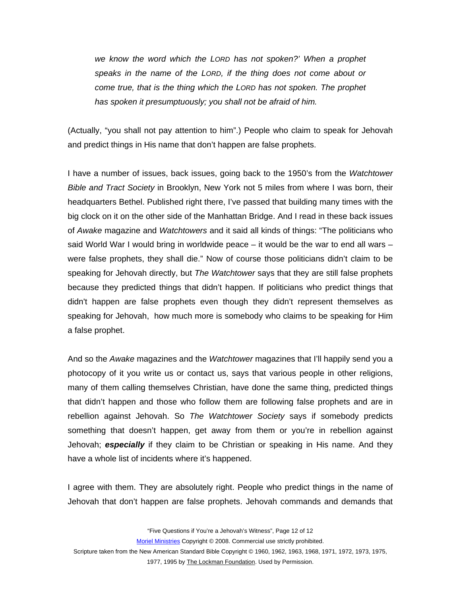*we know the word which the LORD has not spoken?' When a prophet speaks in the name of the LORD, if the thing does not come about or come true, that is the thing which the LORD has not spoken. The prophet has spoken it presumptuously; you shall not be afraid of him.* 

(Actually, "you shall not pay attention to him".) People who claim to speak for Jehovah and predict things in His name that don't happen are false prophets.

I have a number of issues, back issues, going back to the 1950's from the *Watchtower Bible and Tract Society* in Brooklyn, New York not 5 miles from where I was born, their headquarters Bethel. Published right there, I've passed that building many times with the big clock on it on the other side of the Manhattan Bridge. And I read in these back issues of *Awake* magazine and *Watchtowers* and it said all kinds of things: "The politicians who said World War I would bring in worldwide peace  $-$  it would be the war to end all wars  $$ were false prophets, they shall die." Now of course those politicians didn't claim to be speaking for Jehovah directly, but *The Watchtower* says that they are still false prophets because they predicted things that didn't happen. If politicians who predict things that didn't happen are false prophets even though they didn't represent themselves as speaking for Jehovah, how much more is somebody who claims to be speaking for Him a false prophet.

And so the *Awake* magazines and the *Watchtower* magazines that I'll happily send you a photocopy of it you write us or contact us, says that various people in other religions, many of them calling themselves Christian, have done the same thing, predicted things that didn't happen and those who follow them are following false prophets and are in rebellion against Jehovah. So *The Watchtower Society* says if somebody predicts something that doesn't happen, get away from them or you're in rebellion against Jehovah; *especially* if they claim to be Christian or speaking in His name. And they have a whole list of incidents where it's happened.

I agree with them. They are absolutely right. People who predict things in the name of Jehovah that don't happen are false prophets. Jehovah commands and demands that

"Five Questions if You're a Jehovah's Witness", Page 12 of 12

Moriel Ministries Copyright © 2008. Commercial use strictly prohibited.

Scripture taken from the New American Standard Bible Copyright © 1960, 1962, 1963, 1968, 1971, 1972, 1973, 1975,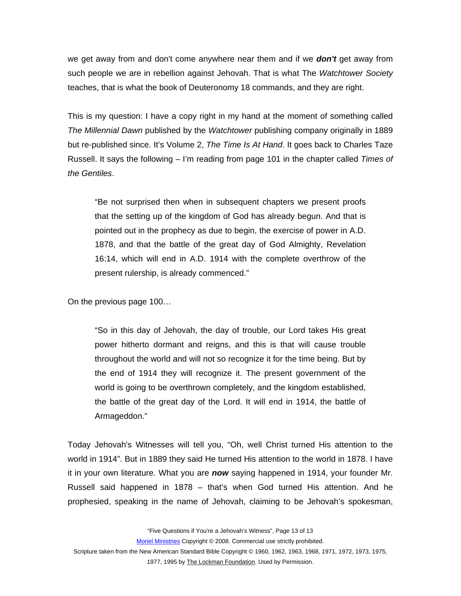we get away from and don't come anywhere near them and if we *don't* get away from such people we are in rebellion against Jehovah. That is what The *Watchtower Society* teaches, that is what the book of Deuteronomy 18 commands, and they are right.

This is my question: I have a copy right in my hand at the moment of something called *The Millennial Dawn* published by the *Watchtower* publishing company originally in 1889 but re-published since. It's Volume 2, *The Time Is At Hand*. It goes back to Charles Taze Russell. It says the following – I'm reading from page 101 in the chapter called *Times of the Gentiles*.

"Be not surprised then when in subsequent chapters we present proofs that the setting up of the kingdom of God has already begun. And that is pointed out in the prophecy as due to begin, the exercise of power in A.D. 1878, and that the battle of the great day of God Almighty, Revelation 16:14, which will end in A.D. 1914 with the complete overthrow of the present rulership, is already commenced."

On the previous page 100…

"So in this day of Jehovah, the day of trouble, our Lord takes His great power hitherto dormant and reigns, and this is that will cause trouble throughout the world and will not so recognize it for the time being. But by the end of 1914 they will recognize it. The present government of the world is going to be overthrown completely, and the kingdom established, the battle of the great day of the Lord. It will end in 1914, the battle of Armageddon."

Today Jehovah's Witnesses will tell you, "Oh, well Christ turned His attention to the world in 1914". But in 1889 they said He turned His attention to the world in 1878. I have it in your own literature. What you are *now* saying happened in 1914, your founder Mr. Russell said happened in 1878 – that's when God turned His attention. And he prophesied, speaking in the name of Jehovah, claiming to be Jehovah's spokesman,

"Five Questions if You're a Jehovah's Witness", Page 13 of 13

Moriel Ministries Copyright © 2008. Commercial use strictly prohibited.

Scripture taken from the New American Standard Bible Copyright © 1960, 1962, 1963, 1968, 1971, 1972, 1973, 1975,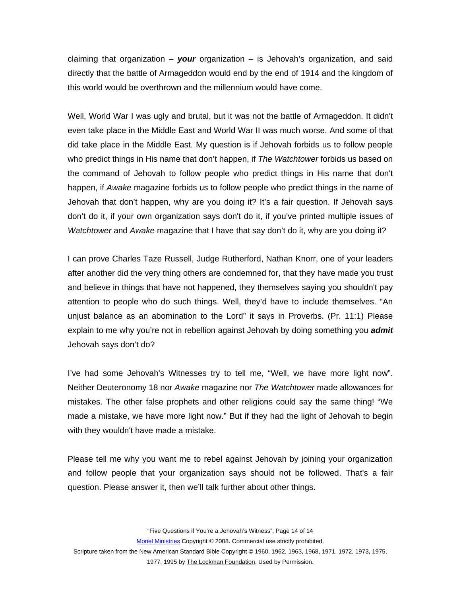claiming that organization – *your* organization – is Jehovah's organization, and said directly that the battle of Armageddon would end by the end of 1914 and the kingdom of this world would be overthrown and the millennium would have come.

Well, World War I was ugly and brutal, but it was not the battle of Armageddon. It didn't even take place in the Middle East and World War II was much worse. And some of that did take place in the Middle East. My question is if Jehovah forbids us to follow people who predict things in His name that don't happen, if *The Watchtower* forbids us based on the command of Jehovah to follow people who predict things in His name that don't happen, if *Awake* magazine forbids us to follow people who predict things in the name of Jehovah that don't happen, why are you doing it? It's a fair question. If Jehovah says don't do it, if your own organization says don't do it, if you've printed multiple issues of *Watchtower* and *Awake* magazine that I have that say don't do it, why are you doing it?

I can prove Charles Taze Russell, Judge Rutherford, Nathan Knorr, one of your leaders after another did the very thing others are condemned for, that they have made you trust and believe in things that have not happened, they themselves saying you shouldn't pay attention to people who do such things. Well, they'd have to include themselves. "An unjust balance as an abomination to the Lord" it says in Proverbs. (Pr. 11:1) Please explain to me why you're not in rebellion against Jehovah by doing something you *admit* Jehovah says don't do?

I've had some Jehovah's Witnesses try to tell me, "Well, we have more light now". Neither Deuteronomy 18 nor *Awake* magazine nor *The Watchtower* made allowances for mistakes. The other false prophets and other religions could say the same thing! "We made a mistake, we have more light now." But if they had the light of Jehovah to begin with they wouldn't have made a mistake.

Please tell me why you want me to rebel against Jehovah by joining your organization and follow people that your organization says should not be followed. That's a fair question. Please answer it, then we'll talk further about other things.

"Five Questions if You're a Jehovah's Witness", Page 14 of 14

Moriel Ministries Copyright © 2008. Commercial use strictly prohibited.

Scripture taken from the New American Standard Bible Copyright © 1960, 1962, 1963, 1968, 1971, 1972, 1973, 1975,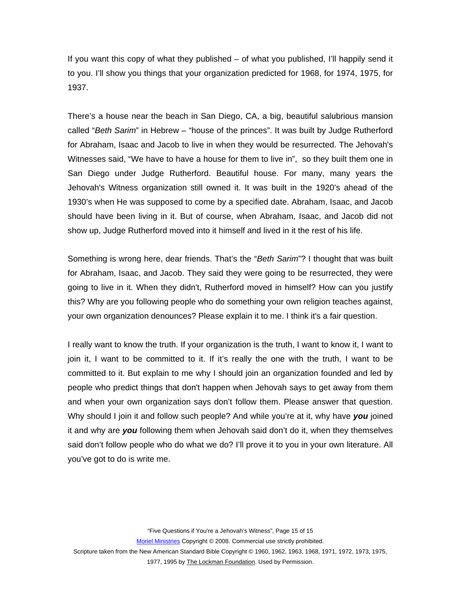If you want this copy of what they published – of what you published, I'll happily send it to you. I'll show you things that your organization predicted for 1968, for 1974, 1975, for 1937.

There's a house near the beach in San Diego, CA, a big, beautiful salubrious mansion called "*Beth Sarim*" in Hebrew – "house of the princes". It was built by Judge Rutherford for Abraham, Isaac and Jacob to live in when they would be resurrected. The Jehovah's Witnesses said, "We have to have a house for them to live in", so they built them one in San Diego under Judge Rutherford. Beautiful house. For many, many years the Jehovah's Witness organization still owned it. It was built in the 1920's ahead of the 1930's when He was supposed to come by a specified date. Abraham, Isaac, and Jacob should have been living in it. But of course, when Abraham, Isaac, and Jacob did not show up, Judge Rutherford moved into it himself and lived in it the rest of his life.

Something is wrong here, dear friends. That's the "*Beth Sarim*"? I thought that was built for Abraham, Isaac, and Jacob. They said they were going to be resurrected, they were going to live in it. When they didn't, Rutherford moved in himself? How can you justify this? Why are you following people who do something your own religion teaches against, your own organization denounces? Please explain it to me. I think it's a fair question.

I really want to know the truth. If your organization is the truth, I want to know it, I want to join it, I want to be committed to it. If it's really the one with the truth, I want to be committed to it. But explain to me why I should join an organization founded and led by people who predict things that don't happen when Jehovah says to get away from them and when your own organization says don't follow them. Please answer that question. Why should I join it and follow such people? And while you're at it, why have *you* joined it and why are *you* following them when Jehovah said don't do it, when they themselves said don't follow people who do what we do? I'll prove it to you in your own literature. All you've got to do is write me.

"Five Questions if You're a Jehovah's Witness", Page 15 of 15

Moriel Ministries Copyright © 2008. Commercial use strictly prohibited.

Scripture taken from the New American Standard Bible Copyright © 1960, 1962, 1963, 1968, 1971, 1972, 1973, 1975,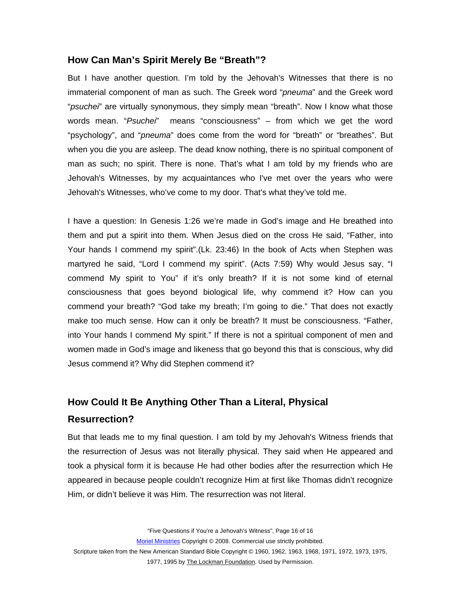#### <span id="page-15-0"></span>**How Can Man's Spirit Merely Be "Breath"?**

But I have another question. I'm told by the Jehovah's Witnesses that there is no immaterial component of man as such. The Greek word "*pneuma*" and the Greek word "*psuchei*" are virtually synonymous, they simply mean "breath". Now I know what those words mean. "*Psuchei*" means "consciousness" – from which we get the word "psychology", and "*pneuma*" does come from the word for "breath" or "breathes". But when you die you are asleep. The dead know nothing, there is no spiritual component of man as such; no spirit. There is none. That's what I am told by my friends who are Jehovah's Witnesses, by my acquaintances who I've met over the years who were Jehovah's Witnesses, who've come to my door. That's what they've told me.

I have a question: In Genesis 1:26 we're made in God's image and He breathed into them and put a spirit into them. When Jesus died on the cross He said, "Father, into Your hands I commend my spirit".(Lk. 23:46) In the book of Acts when Stephen was martyred he said, "Lord I commend my spirit". (Acts 7:59) Why would Jesus say, "I commend My spirit to You" if it's only breath? If it is not some kind of eternal consciousness that goes beyond biological life, why commend it? How can you commend your breath? "God take my breath; I'm going to die." That does not exactly make too much sense. How can it only be breath? It must be consciousness. "Father, into Your hands I commend My spirit." If there is not a spiritual component of men and women made in God's image and likeness that go beyond this that is conscious, why did Jesus commend it? Why did Stephen commend it?

# **How Could It Be Anything Other Than a Literal, Physical Resurrection?**

But that leads me to my final question. I am told by my Jehovah's Witness friends that the resurrection of Jesus was not literally physical. They said when He appeared and took a physical form it is because He had other bodies after the resurrection which He appeared in because people couldn't recognize Him at first like Thomas didn't recognize Him, or didn't believe it was Him. The resurrection was not literal.

"Five Questions if You're a Jehovah's Witness", Page 16 of 16

Moriel Ministries Copyright © 2008. Commercial use strictly prohibited.

Scripture taken from the New American Standard Bible Copyright © 1960, 1962, 1963, 1968, 1971, 1972, 1973, 1975,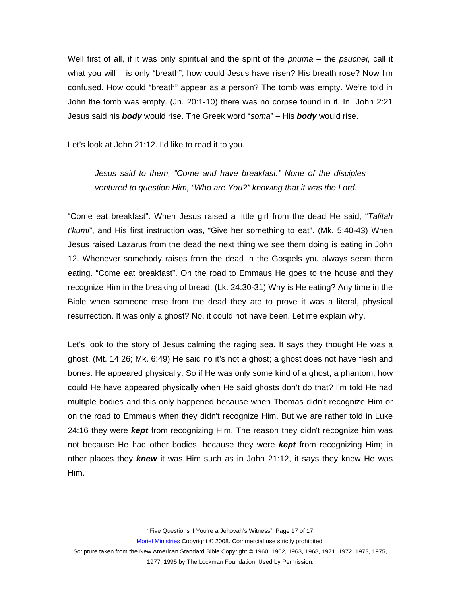Well first of all, if it was only spiritual and the spirit of the *pnuma* – the *psuchei*, call it what you will – is only "breath", how could Jesus have risen? His breath rose? Now I'm confused. How could "breath" appear as a person? The tomb was empty. We're told in John the tomb was empty. (Jn. 20:1-10) there was no corpse found in it. In John 2:21 Jesus said his *body* would rise. The Greek word "*soma*" – His *body* would rise.

Let's look at John 21:12. I'd like to read it to you.

*Jesus said to them, "Come and have breakfast." None of the disciples ventured to question Him, "Who are You?" knowing that it was the Lord.* 

"Come eat breakfast". When Jesus raised a little girl from the dead He said, "*Talitah t'kumi*", and His first instruction was, "Give her something to eat". (Mk. 5:40-43) When Jesus raised Lazarus from the dead the next thing we see them doing is eating in John 12. Whenever somebody raises from the dead in the Gospels you always seem them eating. "Come eat breakfast". On the road to Emmaus He goes to the house and they recognize Him in the breaking of bread. (Lk. 24:30-31) Why is He eating? Any time in the Bible when someone rose from the dead they ate to prove it was a literal, physical resurrection. It was only a ghost? No, it could not have been. Let me explain why.

Let's look to the story of Jesus calming the raging sea. It says they thought He was a ghost. (Mt. 14:26; Mk. 6:49) He said no it's not a ghost; a ghost does not have flesh and bones. He appeared physically. So if He was only some kind of a ghost, a phantom, how could He have appeared physically when He said ghosts don't do that? I'm told He had multiple bodies and this only happened because when Thomas didn't recognize Him or on the road to Emmaus when they didn't recognize Him. But we are rather told in Luke 24:16 they were *kept* from recognizing Him. The reason they didn't recognize him was not because He had other bodies, because they were *kept* from recognizing Him; in other places they *knew* it was Him such as in John 21:12, it says they knew He was Him.

"Five Questions if You're a Jehovah's Witness", Page 17 of 17

Moriel Ministries Copyright © 2008. Commercial use strictly prohibited.

Scripture taken from the New American Standard Bible Copyright © 1960, 1962, 1963, 1968, 1971, 1972, 1973, 1975,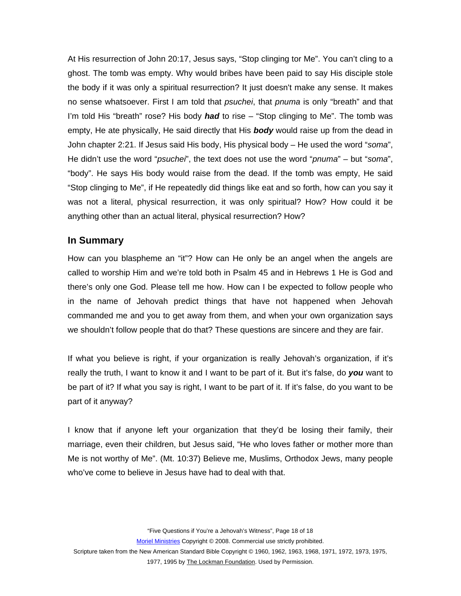<span id="page-17-0"></span>At His resurrection of John 20:17, Jesus says, "Stop clinging tor Me". You can't cling to a ghost. The tomb was empty. Why would bribes have been paid to say His disciple stole the body if it was only a spiritual resurrection? It just doesn't make any sense. It makes no sense whatsoever. First I am told that *psuchei*, that *pnuma* is only "breath" and that I'm told His "breath" rose? His body *had* to rise – "Stop clinging to Me". The tomb was empty, He ate physically, He said directly that His *body* would raise up from the dead in John chapter 2:21. If Jesus said His body, His physical body – He used the word "*soma*", He didn't use the word "*psuchei*", the text does not use the word "*pnuma*" – but "*soma*", "body". He says His body would raise from the dead. If the tomb was empty, He said "Stop clinging to Me", if He repeatedly did things like eat and so forth, how can you say it was not a literal, physical resurrection, it was only spiritual? How? How could it be anything other than an actual literal, physical resurrection? How?

#### **In Summary**

How can you blaspheme an "it"? How can He only be an angel when the angels are called to worship Him and we're told both in Psalm 45 and in Hebrews 1 He is God and there's only one God. Please tell me how. How can I be expected to follow people who in the name of Jehovah predict things that have not happened when Jehovah commanded me and you to get away from them, and when your own organization says we shouldn't follow people that do that? These questions are sincere and they are fair.

If what you believe is right, if your organization is really Jehovah's organization, if it's really the truth, I want to know it and I want to be part of it. But it's false, do *you* want to be part of it? If what you say is right, I want to be part of it. If it's false, do you want to be part of it anyway?

I know that if anyone left your organization that they'd be losing their family, their marriage, even their children, but Jesus said, "He who loves father or mother more than Me is not worthy of Me". (Mt. 10:37) Believe me, Muslims, Orthodox Jews, many people who've come to believe in Jesus have had to deal with that.

"Five Questions if You're a Jehovah's Witness", Page 18 of 18

Moriel Ministries Copyright © 2008. Commercial use strictly prohibited.

Scripture taken from the New American Standard Bible Copyright © 1960, 1962, 1963, 1968, 1971, 1972, 1973, 1975,